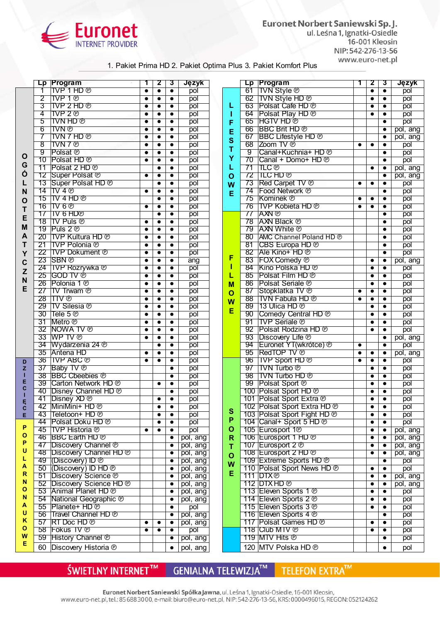

Euronet Norbert Saniewski Sp. J. ul. Leśna 1, Ignatki-Osiedle 16-001 Kleosin NIP: 542-276-13-56 www.euro-net.pl

## 1. Pakiet Prima HD 2. Pakiet Optima Plus 3. Pakiet Komfort Plus

|             | Lp              | Program                                    | 1         | 2         | $\overline{\mathbf{3}}$ | Język            |
|-------------|-----------------|--------------------------------------------|-----------|-----------|-------------------------|------------------|
|             | 1               | TVP 1 HD ®                                 | $\bullet$ | $\bullet$ | $\bullet$               | pol              |
|             | $\overline{2}$  | TVP 1 <sub>®</sub>                         | $\bullet$ | $\bullet$ | $\bullet$               | pol              |
|             | 3               | TVP 2 HD <sup>®</sup>                      | $\bullet$ | $\bullet$ | $\bullet$               | pol              |
|             | 4               | TVP 2 <sub>®</sub>                         |           |           |                         | pol              |
|             | 5               | TVN HD ®                                   | $\bullet$ | $\bullet$ | $\bullet$               | pol              |
|             | 6               | TVN ®                                      |           | $\bullet$ | $\bullet$               | pol              |
|             | $\overline{7}$  | TVN 7 HD ®                                 | $\bullet$ | $\bullet$ | $\bullet$               | pol              |
|             | $\overline{8}$  | TVN7@                                      |           |           |                         | pol              |
|             | $\overline{9}$  | Polsat <sup>®</sup>                        | $\bullet$ | $\bullet$ | $\bullet$               | pol              |
| O           | 10              | Polsat HD <sup>®</sup>                     | $\bullet$ | $\bullet$ | $\bullet$               | pol              |
| G           | 11              | Polsat 2 HD <sup>®</sup>                   |           |           |                         |                  |
| Ó           | 12              | Super Polsat <sup>®</sup>                  |           | $\bullet$ | $\bullet$               | pol              |
|             |                 |                                            |           | $\bullet$ | $\bullet$               | pol              |
| L           | 13              | Super Polsat HD ®                          |           | $\bullet$ | $\bullet$               | pol              |
| N           | 14              | TV40                                       | $\bullet$ | $\bullet$ | $\bullet$               | pol              |
| $\mathbf 0$ | 15              | TV 4 HD ®                                  |           | $\bullet$ | $\bullet$               | pol              |
| T           | 16              | TV 6 <sup>®</sup>                          |           | $\bullet$ | $\bullet$               | pol              |
| E           | 17              | TV 6 HD®                                   |           | $\bullet$ | $\bullet$               | pol              |
|             | 18              | $TV$ Puls $\circledcirc$                   | $\bullet$ | $\bullet$ | $\bullet$               | pol              |
| M           | 19              | Puls 2 $\circledcirc$                      |           | $\bullet$ | $\bullet$               | pol              |
| A           | $\overline{20}$ | TVP Kultura HD ®                           | $\bullet$ | $\bullet$ | $\bullet$               | pol              |
| T           | $\overline{21}$ | <b>TVP Polonia</b> ®                       | $\bullet$ | $\bullet$ | $\bullet$               | pol              |
| Y           | 22              | <b>TVP Dokument ®</b>                      | $\bullet$ | $\bullet$ | $\bullet$               | pol              |
| $\mathbf c$ | 23              | <b>SBN</b> <sup>®</sup>                    | $\bullet$ |           |                         | $\overline{ang}$ |
|             | 24              | <b>TVP Rozrywka</b> <sup>®</sup>           | $\bullet$ | $\bullet$ | $\bullet$               | pol              |
| Z           | 25              | GOD TV ®                                   | $\bullet$ | $\bullet$ | $\bullet$               | pol              |
| N           | 26              | Polonia 1 <sup>®</sup>                     | $\bullet$ | $\bullet$ | $\bullet$               | pol              |
| E           | 27              | TV Trwam <sup>®</sup>                      |           |           | $\bullet$               | pol              |
|             | 28              | <b>TTV</b> <sup>®</sup>                    | $\bullet$ | $\bullet$ | $\bullet$               | pol              |
|             | 29              | $TV$ Silesia $\circledcirc$                | $\bullet$ | $\bullet$ | $\bullet$               | pol              |
|             | 30              | Tele $5®$                                  | $\bullet$ | $\bullet$ | $\bullet$               | pol              |
|             | 31              | Metro <sup>®</sup>                         |           |           |                         | pol              |
|             | $\overline{32}$ | <b>NOWA TV ®</b>                           | $\bullet$ | $\bullet$ | $\bullet$               | pol              |
|             | 33              | WP TV ®                                    | $\bullet$ | $\bullet$ | $\bullet$               | pol              |
|             | 34              | Wydarzenia 24 <sup>®</sup>                 |           | $\bullet$ | $\bullet$               | pol              |
|             | 35              | Antena HD                                  |           |           |                         |                  |
|             | 36              | <b>TVP ABC</b> ®                           |           | $\bullet$ | $\bullet$               | pol              |
| D           |                 |                                            | $\bullet$ | $\bullet$ | $\bullet$               | pol              |
| Z           | 37              | Baby TV <sup>®</sup>                       |           |           | $\bullet$               | pol              |
| т<br>E      | 38              | <b>BBC Cheebies ®</b>                      |           |           | $\bullet$               | pol              |
| C           | 39              | Carton Network HD ®                        |           |           |                         | pol              |
| Т           | 40              | Disney Channel HD ®                        |           |           | $\bullet$               | pol              |
| Ę           | 41              | Disney XD <sup>®</sup>                     |           | $\bullet$ | $\bullet$               | pol              |
| С           | 42              | MiniMini+ HD ℗                             |           | $\bullet$ | $\bullet$               | pol              |
| E.          | 43              | Teletoon+ HD <sup>®</sup>                  |           | $\bullet$ | $\bullet$               | pol              |
|             | 44              | Polsat Doku HD <sup>®</sup>                |           | $\bullet$ | $\bullet$               | pol              |
| P           | 45              | <b>TVP Historia</b> <sup>®</sup>           | $\bullet$ | $\bullet$ | $\bullet$               | pol              |
| O           | 46              | <b>BBC Earth HD ®</b>                      |           |           | $\bullet$               | pol, ang         |
| P           | 47              | Discovery Channel <sup>®</sup>             |           |           | $\bullet$               | pol, ang         |
| U           | 48              | Discovery Channel HD ®                     |           |           |                         | pol, ang         |
| L           | 49              | (Discovery) ID <sup>®</sup>                |           |           | $\bullet$               | pol, ang         |
| A           | 50              | (Discovery) ID HD ®<br>Discovery Science ® |           |           |                         | pol, ang         |
| R           | 51              |                                            |           |           | $\bullet$               | pol, ang         |
| N           | 52              | Discovery Science HD ®                     |           |           |                         | pol, ang         |
| O           | 53              | Animal Planet HD <sup>®</sup>              |           |           | ٠                       | pol, ang         |
| N           | 54              | National Geographic <sup>®</sup>           |           |           |                         | pol, ang         |
| A           | 55              | Planete+ HD <sup>®</sup>                   |           |           | $\bullet$               | pol              |
| U           | 56              | ∣Travel Channel HD ℗                       |           |           | $\bullet$               | pol, ang         |
| Κ           | 57              | $RT$ Doc $HD$ $@$                          |           | $\bullet$ | $\bullet$               | pol, ang         |
| O           | 58              | Fokus TV <sup>®</sup>                      |           |           |                         | pol              |
| W           | 59              | <b>History Channel ®</b>                   |           |           | $\bullet$               | pol, ang         |
| Е           |                 |                                            |           |           |                         |                  |
|             | 60              | Discovery Historia ®                       |           |           | $\bullet$               | pol, ang         |

|              | Lp              | Program                            | 1         | 2         | 3         | Język    |
|--------------|-----------------|------------------------------------|-----------|-----------|-----------|----------|
|              | 61              | TVN Style <sup>®</sup>             |           | $\bullet$ | $\bullet$ | pol      |
|              |                 |                                    |           |           |           |          |
|              | 62              | TVN Style HD <sup>®</sup>          |           |           | $\bullet$ | pol      |
| L            | 63              | Polsat Cafe HD <sup>®</sup>        |           |           | $\bullet$ | pol      |
| 1            | 64              | Polsat Play HD <sup>®</sup>        |           | $\bullet$ | $\bullet$ | pol      |
| F            | 65              | HGTV HD ®                          |           |           | $\bullet$ | pol      |
|              | 66              | <b>BBC Brit HD ®</b>               |           |           | $\bullet$ | pol, ang |
| E            | 67              | <b>BBC Lifestyle HD ®</b>          |           |           | $\bullet$ | pol, ang |
| S            | $\overline{68}$ | Zoom TV ®                          |           |           |           |          |
| T            |                 |                                    | $\bullet$ |           | $\bullet$ | pol      |
| Y            | $\overline{9}$  | Canal+Kuchnia+ HD <sup>®</sup>     |           |           | $\bullet$ | pol      |
|              | 70              | Canal + Domo+ HD <sup>®</sup>      |           |           |           | pol      |
| L            | 71              | <b>TLC</b> ®                       |           |           | $\bullet$ | pol, ang |
| $\mathbf{o}$ | 72              | TLC HD ®                           |           |           | $\bullet$ | pol, ang |
| W            | 73              | Red Carpet TV <sup>®</sup>         | $\bullet$ |           | $\bullet$ | pol      |
|              | 74              | Food Network ®                     |           |           |           | pol      |
| Е            | 75              | Kominek ®                          |           |           | $\bullet$ | pol      |
|              |                 |                                    |           |           |           |          |
|              | 76              | TVP Kobieta HD ®                   | $\bullet$ | $\bullet$ | $\bullet$ | pol      |
|              | 77              | AXN ®                              |           |           | $\bullet$ | pol      |
|              | $\overline{78}$ | <b>AXN Black ®</b>                 |           |           | $\bullet$ | pol      |
|              | 79              | <b>AXN White ®</b>                 |           |           | $\bullet$ | pol      |
|              | 80              | AMC Channel Poland HD ®            |           |           | $\bullet$ | pol      |
|              | 81              | CBS Europa HD ®                    |           |           | $\bullet$ | pol      |
|              |                 |                                    |           |           |           |          |
| F            | 82              | Ale Kino+ HD <sup>®</sup>          |           |           | $\bullet$ | pol      |
|              | 83              | FOX Comedy <sup>®</sup>            |           | $\bullet$ | $\bullet$ | pol, ang |
| 1            | 84              | Kino Polska HD <sup>®</sup>        |           | $\bullet$ | $\bullet$ | pol      |
| L            | 85              | Polsat Film HD <sup>®</sup>        |           |           | $\bullet$ | pol      |
| M            | 86              | Polsat Seriale <sup>®</sup>        |           |           | $\bullet$ | pol      |
|              | 87              | Stopklatka TV <sup>®</sup>         | $\bullet$ | $\bullet$ | $\bullet$ | pol      |
| O            | 88              | <b>TVN Fabuła HD ®</b>             |           |           |           |          |
| W            |                 |                                    | $\bullet$ |           | $\bullet$ | pol      |
| E            | 89              | 13 Ulica HD <sup>®</sup>           |           |           |           | pol      |
|              | 90              | Comedy Central HD ®                |           |           | $\bullet$ | pol      |
|              | 91              | <b>TVP Seriale ®</b>               |           | $\bullet$ | $\bullet$ | pol      |
|              | 92              | Polsat Rodzina HD ®                |           |           | $\bullet$ | pol      |
|              | 93              | Discovery Life <sup>®</sup>        |           |           |           | pol, ang |
|              | 94              | Euronet YT(wkrótce) ®              | $\bullet$ |           | $\bullet$ | pol      |
|              | 95              | RedTOP TV ®                        |           |           | $\bullet$ | pol, ang |
|              | $96 -$          |                                    |           |           |           |          |
|              |                 | $ {\rm TVP}$ Sport HD $\odot$      | $\bullet$ |           |           | pol      |
|              | 97              | TVN Turbo <sup>®</sup>             |           | 0         |           | pol      |
|              | 98              | TVN Turbo HD <sup>®</sup>          |           |           | $\bullet$ | pol      |
|              |                 | 99 Polsat Sport ®                  |           |           | $\bullet$ | pol      |
|              |                 | 100 Polsat Sport HD ®              |           |           |           | pol      |
|              |                 | 101 Polsat Sport Extra ®           |           |           |           | pol      |
|              |                 | 102 Polsat Sport Extra HD ®        |           |           |           | pol      |
| S            |                 |                                    |           |           |           |          |
| P            |                 | 103 Polsat Sport Fight HD ®        |           | $\bullet$ | $\bullet$ | pol      |
|              |                 | 104 Canal+ Sport 5 HD <sup>®</sup> |           |           |           | pol      |
| O            |                 | 105 Eurosport 1 <sup>®</sup>       |           |           | $\bullet$ | pol, ang |
| R            |                 | 106 Eurosport 1 HD ®               |           | $\bullet$ | $\bullet$ | pol, ang |
| T            |                 | 107 Eurosport 2 <sup>®</sup>       |           | ٠         | $\bullet$ | pol, ang |
|              |                 | 108 Eurosport 2 HD <sup>®</sup>    |           |           | $\bullet$ | pol, ang |
| $\mathbf 0$  |                 | 109 Extreme Sports HD ®            |           |           |           |          |
| W            |                 |                                    |           |           | $\bullet$ | pol      |
| Е            |                 | 110 Polsat Sport News HD ®         |           | ٠         | ٠         | pol      |
|              |                 | 111 <b>DTX</b> ®                   |           |           | $\bullet$ | pol, ang |
|              |                 | 112 DTX HD ®                       |           |           |           | pol, ang |
|              |                 | 113 Eleven Sports 1 ®              |           | $\bullet$ | $\bullet$ | pol      |
|              |                 | 114 Eleven Sports 2 ®              |           | ٠         | ٠         | pol      |
|              |                 | 115 Eleven Sports 3 ®              |           |           | ٠         | pol      |
|              |                 | 116 Eleven Sports 4 ®              |           |           |           |          |
|              |                 |                                    |           |           |           | pol      |
|              |                 | 117 Polsat Games HD <sup>®</sup>   |           |           |           | pol      |
|              | 118             | Club MTV <sup>®</sup>              |           | $\bullet$ | $\bullet$ | pol      |
|              |                 | 119 MTV Hits ®                     |           |           | ٠         | pol      |
|              |                 | 120   MTV Polska HD <sup>®</sup>   |           |           |           | pol      |

ŚWIETLNY INTERNET™

GENIALNA TELEWIZJA™

TELEFON EXTRA™